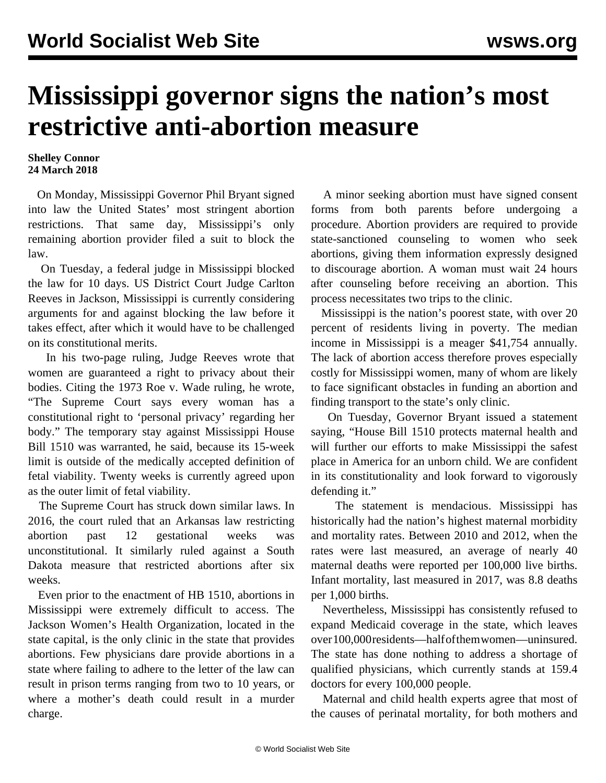## **Mississippi governor signs the nation's most restrictive anti-abortion measure**

## **Shelley Connor 24 March 2018**

 On Monday, Mississippi Governor Phil Bryant signed into law the United States' most stringent abortion restrictions. That same day, Mississippi's only remaining abortion provider filed a suit to block the law.

 On Tuesday, a federal judge in Mississippi blocked the law for 10 days. US District Court Judge Carlton Reeves in Jackson, Mississippi is currently considering arguments for and against blocking the law before it takes effect, after which it would have to be challenged on its constitutional merits.

 In his two-page ruling, Judge Reeves wrote that women are guaranteed a right to privacy about their bodies. Citing the 1973 Roe v. Wade ruling, he wrote, "The Supreme Court says every woman has a constitutional right to 'personal privacy' regarding her body." The temporary stay against Mississippi House Bill 1510 was warranted, he said, because its 15-week limit is outside of the medically accepted definition of fetal viability. Twenty weeks is currently agreed upon as the outer limit of fetal viability.

 The Supreme Court has struck down similar laws. In 2016, the court ruled that an Arkansas law restricting abortion past 12 gestational weeks was unconstitutional. It similarly ruled against a South Dakota measure that restricted abortions after six weeks.

 Even prior to the enactment of HB 1510, abortions in Mississippi were extremely difficult to access. The Jackson Women's Health Organization, located in the state capital, is the only clinic in the state that provides abortions. Few physicians dare provide abortions in a state where failing to adhere to the letter of the law can result in prison terms ranging from two to 10 years, or where a mother's death could result in a murder charge.

 A minor seeking abortion must have signed consent forms from both parents before undergoing a procedure. Abortion providers are required to provide state-sanctioned counseling to women who seek abortions, giving them information expressly designed to discourage abortion. A woman must wait 24 hours after counseling before receiving an abortion. This process necessitates two trips to the clinic.

 Mississippi is the nation's poorest state, with over 20 percent of residents living in poverty. The median income in Mississippi is a meager \$41,754 annually. The lack of abortion access therefore proves especially costly for Mississippi women, many of whom are likely to face significant obstacles in funding an abortion and finding transport to the state's only clinic.

 On Tuesday, Governor Bryant issued a statement saying, "House Bill 1510 protects maternal health and will further our efforts to make Mississippi the safest place in America for an unborn child. We are confident in its constitutionality and look forward to vigorously defending it."

 The statement is mendacious. Mississippi has historically had the nation's highest maternal morbidity and mortality rates. Between 2010 and 2012, when the rates were last measured, an average of nearly 40 maternal deaths were reported per 100,000 live births. Infant mortality, last measured in 2017, was 8.8 deaths per 1,000 births.

 Nevertheless, Mississippi has consistently refused to expand Medicaid coverage in the state, which leaves over 100,000 residents—half of them women—uninsured. The state has done nothing to address a shortage of qualified physicians, which currently stands at 159.4 doctors for every 100,000 people.

 Maternal and child health experts agree that most of the causes of perinatal mortality, for both mothers and